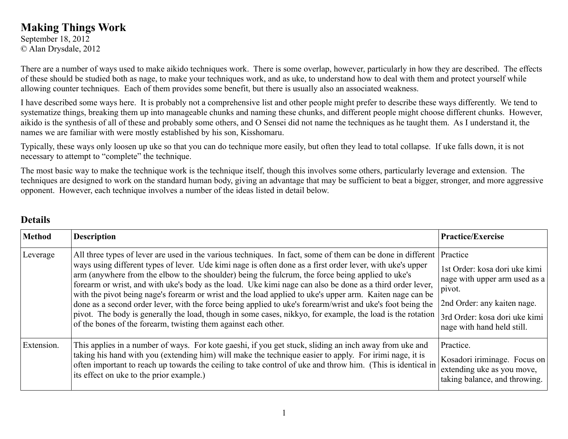## **Making Things Work**

September 18, 2012 © Alan Drysdale, 2012

There are a number of ways used to make aikido techniques work. There is some overlap, however, particularly in how they are described. The effects of these should be studied both as nage, to make your techniques work, and as uke, to understand how to deal with them and protect yourself while allowing counter techniques. Each of them provides some benefit, but there is usually also an associated weakness.

I have described some ways here. It is probably not a comprehensive list and other people might prefer to describe these ways differently. We tend to systematize things, breaking them up into manageable chunks and naming these chunks, and different people might choose different chunks. However, aikido is the synthesis of all of these and probably some others, and O Sensei did not name the techniques as he taught them. As I understand it, the names we are familiar with were mostly established by his son, Kisshomaru.

Typically, these ways only loosen up uke so that you can do technique more easily, but often they lead to total collapse. If uke falls down, it is not necessary to attempt to "complete" the technique.

The most basic way to make the technique work is the technique itself, though this involves some others, particularly leverage and extension. The techniques are designed to work on the standard human body, giving an advantage that may be sufficient to beat a bigger, stronger, and more aggressive opponent. However, each technique involves a number of the ideas listed in detail below.

## **Details**

| <b>Method</b> | <b>Description</b>                                                                                                                                                                                                                                                                                                                                                                                                                                                                                                                                                                                                                                                                                                                                                                                                                                   | <b>Practice/Exercise</b>                                                                                                                                                           |
|---------------|------------------------------------------------------------------------------------------------------------------------------------------------------------------------------------------------------------------------------------------------------------------------------------------------------------------------------------------------------------------------------------------------------------------------------------------------------------------------------------------------------------------------------------------------------------------------------------------------------------------------------------------------------------------------------------------------------------------------------------------------------------------------------------------------------------------------------------------------------|------------------------------------------------------------------------------------------------------------------------------------------------------------------------------------|
| Leverage      | All three types of lever are used in the various techniques. In fact, some of them can be done in different<br>ways using different types of lever. Ude kimi nage is often done as a first order lever, with uke's upper<br>arm (anywhere from the elbow to the shoulder) being the fulcrum, the force being applied to uke's<br>forearm or wrist, and with uke's body as the load. Uke kimi nage can also be done as a third order lever,<br>with the pivot being nage's forearm or wrist and the load applied to uke's upper arm. Kaiten nage can be<br>done as a second order lever, with the force being applied to uke's forearm/wrist and uke's foot being the<br>pivot. The body is generally the load, though in some cases, nikkyo, for example, the load is the rotation<br>of the bones of the forearm, twisting them against each other. | Practice<br>1st Order: kosa dori uke kimi<br>nage with upper arm used as a<br>pivot.<br>2nd Order: any kaiten nage.<br>3rd Order: kosa dori uke kimi<br>nage with hand held still. |
| Extension.    | This applies in a number of ways. For kote gaeshi, if you get stuck, sliding an inch away from uke and<br>taking his hand with you (extending him) will make the technique easier to apply. For irimi nage, it is<br>often important to reach up towards the ceiling to take control of uke and throw him. (This is identical in<br>its effect on uke to the prior example.)                                                                                                                                                                                                                                                                                                                                                                                                                                                                         | Practice.<br>Kosadori iriminage. Focus on<br>extending uke as you move,<br>taking balance, and throwing.                                                                           |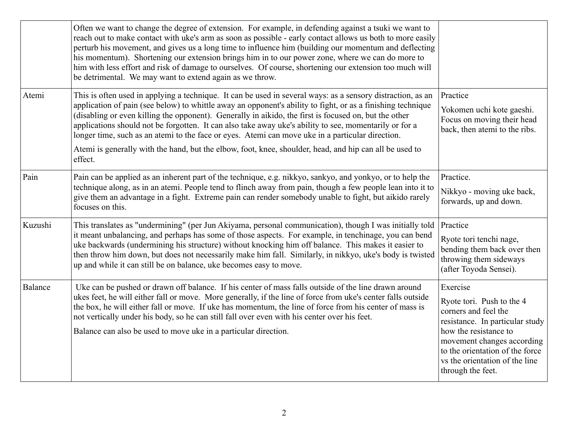|                | Often we want to change the degree of extension. For example, in defending against a tsuki we want to<br>reach out to make contact with uke's arm as soon as possible - early contact allows us both to more easily<br>perturb his movement, and gives us a long time to influence him (building our momentum and deflecting<br>his momentum). Shortening our extension brings him in to our power zone, where we can do more to<br>him with less effort and risk of damage to ourselves. Of course, shortening our extension too much will<br>be detrimental. We may want to extend again as we throw.                                                      |                                                                                                                                                                                                                                                   |
|----------------|--------------------------------------------------------------------------------------------------------------------------------------------------------------------------------------------------------------------------------------------------------------------------------------------------------------------------------------------------------------------------------------------------------------------------------------------------------------------------------------------------------------------------------------------------------------------------------------------------------------------------------------------------------------|---------------------------------------------------------------------------------------------------------------------------------------------------------------------------------------------------------------------------------------------------|
| Atemi          | This is often used in applying a technique. It can be used in several ways: as a sensory distraction, as an<br>application of pain (see below) to whittle away an opponent's ability to fight, or as a finishing technique<br>(disabling or even killing the opponent). Generally in aikido, the first is focused on, but the other<br>applications should not be forgotten. It can also take away uke's ability to see, momentarily or for a<br>longer time, such as an atemi to the face or eyes. Atemi can move uke in a particular direction.<br>Atemi is generally with the hand, but the elbow, foot, knee, shoulder, head, and hip can all be used to | Practice<br>Yokomen uchi kote gaeshi.<br>Focus on moving their head<br>back, then atemi to the ribs.                                                                                                                                              |
|                | effect.                                                                                                                                                                                                                                                                                                                                                                                                                                                                                                                                                                                                                                                      |                                                                                                                                                                                                                                                   |
| Pain           | Pain can be applied as an inherent part of the technique, e.g. nikkyo, sankyo, and yonkyo, or to help the<br>technique along, as in an atemi. People tend to flinch away from pain, though a few people lean into it to<br>give them an advantage in a fight. Extreme pain can render somebody unable to fight, but aikido rarely<br>focuses on this.                                                                                                                                                                                                                                                                                                        | Practice.<br>Nikkyo - moving uke back,<br>forwards, up and down.                                                                                                                                                                                  |
| Kuzushi        | This translates as "undermining" (per Jun Akiyama, personal communication), though I was initially told<br>it meant unbalancing, and perhaps has some of those aspects. For example, in tenchinage, you can bend<br>uke backwards (undermining his structure) without knocking him off balance. This makes it easier to<br>then throw him down, but does not necessarily make him fall. Similarly, in nikkyo, uke's body is twisted<br>up and while it can still be on balance, uke becomes easy to move.                                                                                                                                                    | Practice<br>Ryote tori tenchi nage,<br>bending them back over then<br>throwing them sideways<br>(after Toyoda Sensei).                                                                                                                            |
| <b>Balance</b> | Uke can be pushed or drawn off balance. If his center of mass falls outside of the line drawn around<br>ukes feet, he will either fall or move. More generally, if the line of force from uke's center falls outside<br>the box, he will either fall or move. If uke has momentum, the line of force from his center of mass is<br>not vertically under his body, so he can still fall over even with his center over his feet.<br>Balance can also be used to move uke in a particular direction.                                                                                                                                                           | Exercise<br>Ryote tori. Push to the 4<br>corners and feel the<br>resistance. In particular study<br>how the resistance to<br>movement changes according<br>to the orientation of the force<br>vs the orientation of the line<br>through the feet. |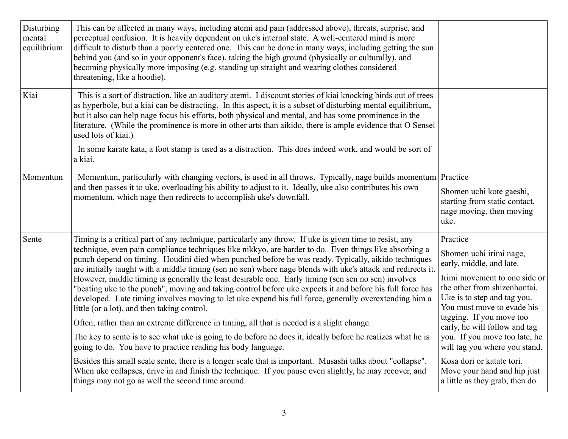| Disturbing<br>mental<br>equilibrium | This can be affected in many ways, including atemi and pain (addressed above), threats, surprise, and<br>perceptual confusion. It is heavily dependent on uke's internal state. A well-centered mind is more<br>difficult to disturb than a poorly centered one. This can be done in many ways, including getting the sun<br>behind you (and so in your opponent's face), taking the high ground (physically or culturally), and<br>becoming physically more imposing (e.g. standing up straight and wearing clothes considered<br>threatening, like a hoodie).                                                                                                                                                                                                                                                                                                                                                                                                                                                                                                                                                                                                                                                                                                                                                                                                                 |                                                                                                                                                                                                                                                                                                                                                                                                                            |
|-------------------------------------|---------------------------------------------------------------------------------------------------------------------------------------------------------------------------------------------------------------------------------------------------------------------------------------------------------------------------------------------------------------------------------------------------------------------------------------------------------------------------------------------------------------------------------------------------------------------------------------------------------------------------------------------------------------------------------------------------------------------------------------------------------------------------------------------------------------------------------------------------------------------------------------------------------------------------------------------------------------------------------------------------------------------------------------------------------------------------------------------------------------------------------------------------------------------------------------------------------------------------------------------------------------------------------------------------------------------------------------------------------------------------------|----------------------------------------------------------------------------------------------------------------------------------------------------------------------------------------------------------------------------------------------------------------------------------------------------------------------------------------------------------------------------------------------------------------------------|
| Kiai                                | This is a sort of distraction, like an auditory atemi. I discount stories of kiai knocking birds out of trees<br>as hyperbole, but a kiai can be distracting. In this aspect, it is a subset of disturbing mental equilibrium,<br>but it also can help nage focus his efforts, both physical and mental, and has some prominence in the<br>literature. (While the prominence is more in other arts than aikido, there is ample evidence that O Sensei<br>used lots of kiai.)<br>In some karate kata, a foot stamp is used as a distraction. This does indeed work, and would be sort of<br>a kiai.                                                                                                                                                                                                                                                                                                                                                                                                                                                                                                                                                                                                                                                                                                                                                                              |                                                                                                                                                                                                                                                                                                                                                                                                                            |
| Momentum                            | Momentum, particularly with changing vectors, is used in all throws. Typically, nage builds momentum Practice<br>and then passes it to uke, overloading his ability to adjust to it. Ideally, uke also contributes his own<br>momentum, which nage then redirects to accomplish uke's downfall.                                                                                                                                                                                                                                                                                                                                                                                                                                                                                                                                                                                                                                                                                                                                                                                                                                                                                                                                                                                                                                                                                 | Shomen uchi kote gaeshi,<br>starting from static contact,<br>nage moving, then moving<br>uke.                                                                                                                                                                                                                                                                                                                              |
| Sente                               | Timing is a critical part of any technique, particularly any throw. If uke is given time to resist, any<br>technique, even pain compliance techniques like nikkyo, are harder to do. Even things like absorbing a<br>punch depend on timing. Houdini died when punched before he was ready. Typically, aikido techniques<br>are initially taught with a middle timing (sen no sen) where nage blends with uke's attack and redirects it.<br>However, middle timing is generally the least desirable one. Early timing (sen sen no sen) involves<br>"beating uke to the punch", moving and taking control before uke expects it and before his full force has<br>developed. Late timing involves moving to let uke expend his full force, generally overextending him a<br>little (or a lot), and then taking control.<br>Often, rather than an extreme difference in timing, all that is needed is a slight change.<br>The key to sente is to see what uke is going to do before he does it, ideally before he realizes what he is<br>going to do. You have to practice reading his body language.<br>Besides this small scale sente, there is a longer scale that is important. Musashi talks about "collapse".<br>When uke collapses, drive in and finish the technique. If you pause even slightly, he may recover, and<br>things may not go as well the second time around. | Practice<br>Shomen uchi irimi nage,<br>early, middle, and late.<br>Irimi movement to one side or<br>the other from shizenhontai.<br>Uke is to step and tag you.<br>You must move to evade his<br>tagging. If you move too<br>early, he will follow and tag<br>you. If you move too late, he<br>will tag you where you stand.<br>Kosa dori or katate tori.<br>Move your hand and hip just<br>a little as they grab, then do |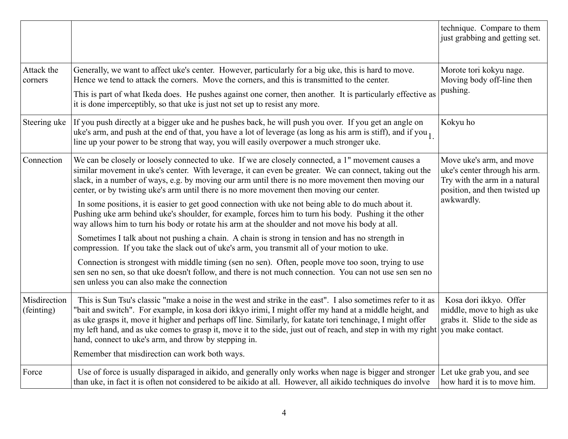|                            |                                                                                                                                                                                                                                                                                                                                                                                                                                                                                                                                                                                      | technique. Compare to them<br>just grabbing and getting set.                                                                              |
|----------------------------|--------------------------------------------------------------------------------------------------------------------------------------------------------------------------------------------------------------------------------------------------------------------------------------------------------------------------------------------------------------------------------------------------------------------------------------------------------------------------------------------------------------------------------------------------------------------------------------|-------------------------------------------------------------------------------------------------------------------------------------------|
| Attack the<br>corners      | Generally, we want to affect uke's center. However, particularly for a big uke, this is hard to move.<br>Hence we tend to attack the corners. Move the corners, and this is transmitted to the center.<br>This is part of what Ikeda does. He pushes against one corner, then another. It is particularly effective as                                                                                                                                                                                                                                                               | Morote tori kokyu nage.<br>Moving body off-line then<br>pushing.                                                                          |
|                            | it is done imperceptibly, so that uke is just not set up to resist any more.                                                                                                                                                                                                                                                                                                                                                                                                                                                                                                         |                                                                                                                                           |
| Steering uke               | If you push directly at a bigger uke and he pushes back, he will push you over. If you get an angle on<br>uke's arm, and push at the end of that, you have a lot of leverage (as long as his arm is stiff), and if you $_1$<br>line up your power to be strong that way, you will easily overpower a much stronger uke.                                                                                                                                                                                                                                                              | Kokyu ho                                                                                                                                  |
| Connection                 | We can be closely or loosely connected to uke. If we are closely connected, a 1" movement causes a<br>similar movement in uke's center. With leverage, it can even be greater. We can connect, taking out the<br>slack, in a number of ways, e.g. by moving our arm until there is no more movement then moving our<br>center, or by twisting uke's arm until there is no more movement then moving our center.                                                                                                                                                                      | Move uke's arm, and move<br>uke's center through his arm.<br>Try with the arm in a natural<br>position, and then twisted up<br>awkwardly. |
|                            | In some positions, it is easier to get good connection with uke not being able to do much about it.<br>Pushing uke arm behind uke's shoulder, for example, forces him to turn his body. Pushing it the other<br>way allows him to turn his body or rotate his arm at the shoulder and not move his body at all.                                                                                                                                                                                                                                                                      |                                                                                                                                           |
|                            | Sometimes I talk about not pushing a chain. A chain is strong in tension and has no strength in<br>compression. If you take the slack out of uke's arm, you transmit all of your motion to uke.                                                                                                                                                                                                                                                                                                                                                                                      |                                                                                                                                           |
|                            | Connection is strongest with middle timing (sen no sen). Often, people move too soon, trying to use<br>sen sen no sen, so that uke doesn't follow, and there is not much connection. You can not use sen sen no<br>sen unless you can also make the connection                                                                                                                                                                                                                                                                                                                       |                                                                                                                                           |
| Misdirection<br>(feinting) | This is Sun Tsu's classic "make a noise in the west and strike in the east". I also sometimes refer to it as<br>"bait and switch". For example, in kosa dori ikkyo irimi, I might offer my hand at a middle height, and<br>as uke grasps it, move it higher and perhaps off line. Similarly, for katate tori tenchinage, I might offer<br>my left hand, and as uke comes to grasp it, move it to the side, just out of reach, and step in with my right you make contact.<br>hand, connect to uke's arm, and throw by stepping in.<br>Remember that misdirection can work both ways. | Kosa dori ikkyo. Offer<br>middle, move to high as uke<br>grabs it. Slide to the side as                                                   |
| Force                      | Use of force is usually disparaged in aikido, and generally only works when nage is bigger and stronger<br>than uke, in fact it is often not considered to be aikido at all. However, all aikido techniques do involve                                                                                                                                                                                                                                                                                                                                                               | Let uke grab you, and see<br>how hard it is to move him.                                                                                  |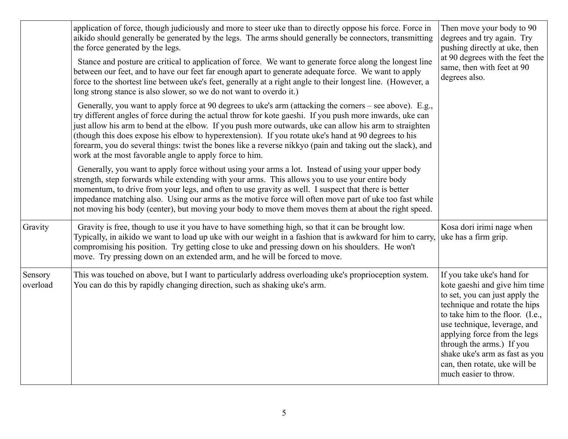|                     | application of force, though judiciously and more to steer uke than to directly oppose his force. Force in<br>aikido should generally be generated by the legs. The arms should generally be connectors, transmitting<br>the force generated by the legs.<br>Stance and posture are critical to application of force. We want to generate force along the longest line<br>between our feet, and to have our feet far enough apart to generate adequate force. We want to apply<br>force to the shortest line between uke's feet, generally at a right angle to their longest line. (However, a<br>long strong stance is also slower, so we do not want to overdo it.) | Then move your body to 90<br>degrees and try again. Try<br>pushing directly at uke, then<br>at 90 degrees with the feet the<br>same, then with feet at 90<br>degrees also.                                                                                                                                                                                  |
|---------------------|-----------------------------------------------------------------------------------------------------------------------------------------------------------------------------------------------------------------------------------------------------------------------------------------------------------------------------------------------------------------------------------------------------------------------------------------------------------------------------------------------------------------------------------------------------------------------------------------------------------------------------------------------------------------------|-------------------------------------------------------------------------------------------------------------------------------------------------------------------------------------------------------------------------------------------------------------------------------------------------------------------------------------------------------------|
|                     | Generally, you want to apply force at 90 degrees to uke's arm (attacking the corners – see above). E.g.,<br>try different angles of force during the actual throw for kote gaeshi. If you push more inwards, uke can<br>just allow his arm to bend at the elbow. If you push more outwards, uke can allow his arm to straighten<br>(though this does expose his elbow to hyperextension). If you rotate uke's hand at 90 degrees to his<br>forearm, you do several things: twist the bones like a reverse nikkyo (pain and taking out the slack), and<br>work at the most favorable angle to apply force to him.                                                      |                                                                                                                                                                                                                                                                                                                                                             |
|                     | Generally, you want to apply force without using your arms a lot. Instead of using your upper body<br>strength, step forwards while extending with your arms. This allows you to use your entire body<br>momentum, to drive from your legs, and often to use gravity as well. I suspect that there is better<br>impedance matching also. Using our arms as the motive force will often move part of uke too fast while<br>not moving his body (center), but moving your body to move them moves them at about the right speed.                                                                                                                                        |                                                                                                                                                                                                                                                                                                                                                             |
| Gravity             | Gravity is free, though to use it you have to have something high, so that it can be brought low.<br>Typically, in aikido we want to load up uke with our weight in a fashion that is awkward for him to carry,<br>compromising his position. Try getting close to uke and pressing down on his shoulders. He won't<br>move. Try pressing down on an extended arm, and he will be forced to move.                                                                                                                                                                                                                                                                     | Kosa dori irimi nage when<br>uke has a firm grip.                                                                                                                                                                                                                                                                                                           |
| Sensory<br>overload | This was touched on above, but I want to particularly address overloading uke's proprioception system.<br>You can do this by rapidly changing direction, such as shaking uke's arm.                                                                                                                                                                                                                                                                                                                                                                                                                                                                                   | If you take uke's hand for<br>kote gaeshi and give him time<br>to set, you can just apply the<br>technique and rotate the hips<br>to take him to the floor. (I.e.,<br>use technique, leverage, and<br>applying force from the legs<br>through the arms.) If you<br>shake uke's arm as fast as you<br>can, then rotate, uke will be<br>much easier to throw. |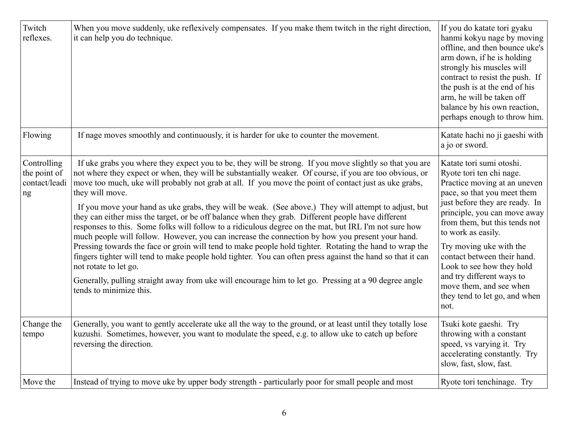| Twitch<br>reflexes.                                | When you move suddenly, uke reflexively compensates. If you make them twitch in the right direction,<br>it can help you do technique.                                                                                                                                                                                                                                                                                                                                                                                                                                                                                                                                                                                                                                                                                                                                                                                                                                                                                                                                                                                                                          | If you do katate tori gyaku<br>hanmi kokyu nage by moving<br>offline, and then bounce uke's<br>arm down, if he is holding<br>strongly his muscles will<br>contract to resist the push. If<br>the push is at the end of his<br>arm, he will be taken off<br>balance by his own reaction,<br>perhaps enough to throw him.                                                                                                              |
|----------------------------------------------------|----------------------------------------------------------------------------------------------------------------------------------------------------------------------------------------------------------------------------------------------------------------------------------------------------------------------------------------------------------------------------------------------------------------------------------------------------------------------------------------------------------------------------------------------------------------------------------------------------------------------------------------------------------------------------------------------------------------------------------------------------------------------------------------------------------------------------------------------------------------------------------------------------------------------------------------------------------------------------------------------------------------------------------------------------------------------------------------------------------------------------------------------------------------|--------------------------------------------------------------------------------------------------------------------------------------------------------------------------------------------------------------------------------------------------------------------------------------------------------------------------------------------------------------------------------------------------------------------------------------|
| Flowing                                            | If nage moves smoothly and continuously, it is harder for uke to counter the movement.                                                                                                                                                                                                                                                                                                                                                                                                                                                                                                                                                                                                                                                                                                                                                                                                                                                                                                                                                                                                                                                                         | Katate hachi no ji gaeshi with<br>a jo or sword.                                                                                                                                                                                                                                                                                                                                                                                     |
| Controlling<br>the point of<br>contact/leadi<br>ng | If uke grabs you where they expect you to be, they will be strong. If you move slightly so that you are<br>not where they expect or when, they will be substantially weaker. Of course, if you are too obvious, or<br>move too much, uke will probably not grab at all. If you move the point of contact just as uke grabs,<br>they will move.<br>If you move your hand as uke grabs, they will be weak. (See above.) They will attempt to adjust, but<br>they can either miss the target, or be off balance when they grab. Different people have different<br>responses to this. Some folks will follow to a ridiculous degree on the mat, but IRL I'm not sure how<br>much people will follow. However, you can increase the connection by how you present your hand.<br>Pressing towards the face or groin will tend to make people hold tighter. Rotating the hand to wrap the<br>fingers tighter will tend to make people hold tighter. You can often press against the hand so that it can<br>not rotate to let go.<br>Generally, pulling straight away from uke will encourage him to let go. Pressing at a 90 degree angle<br>tends to minimize this. | Katate tori sumi otoshi.<br>Ryote tori ten chi nage.<br>Practice moving at an uneven<br>pace, so that you meet them<br>just before they are ready. In<br>principle, you can move away<br>from them, but this tends not<br>to work as easily.<br>Try moving uke with the<br>contact between their hand.<br>Look to see how they hold<br>and try different ways to<br>move them, and see when<br>they tend to let go, and when<br>not. |
| Change the<br>tempo                                | Generally, you want to gently accelerate uke all the way to the ground, or at least until they totally lose<br>kuzushi. Sometimes, however, you want to modulate the speed, e.g. to allow uke to catch up before<br>reversing the direction.                                                                                                                                                                                                                                                                                                                                                                                                                                                                                                                                                                                                                                                                                                                                                                                                                                                                                                                   | Tsuki kote gaeshi. Try<br>throwing with a constant<br>speed, vs varying it. Try<br>accelerating constantly. Try<br>slow, fast, slow, fast.                                                                                                                                                                                                                                                                                           |
| Move the                                           | Instead of trying to move uke by upper body strength - particularly poor for small people and most                                                                                                                                                                                                                                                                                                                                                                                                                                                                                                                                                                                                                                                                                                                                                                                                                                                                                                                                                                                                                                                             | Ryote tori tenchinage. Try                                                                                                                                                                                                                                                                                                                                                                                                           |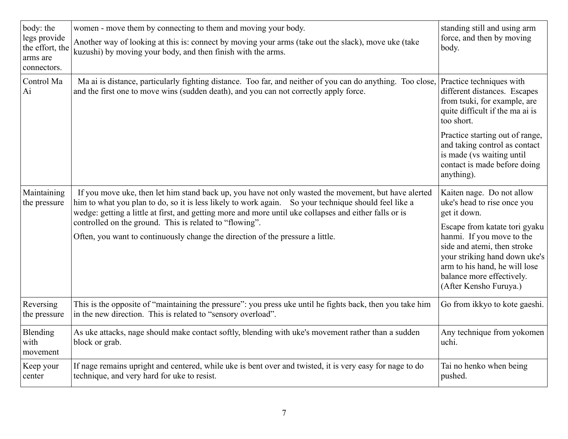| body: the<br>legs provide<br>the effort, the<br>arms are<br>connectors. | women - move them by connecting to them and moving your body.<br>Another way of looking at this is: connect by moving your arms (take out the slack), move uke (take<br>kuzushi) by moving your body, and then finish with the arms.                                                                                                                                                                                                                                | standing still and using arm<br>force, and then by moving<br>body.                                                                                                                                                                                                                             |
|-------------------------------------------------------------------------|---------------------------------------------------------------------------------------------------------------------------------------------------------------------------------------------------------------------------------------------------------------------------------------------------------------------------------------------------------------------------------------------------------------------------------------------------------------------|------------------------------------------------------------------------------------------------------------------------------------------------------------------------------------------------------------------------------------------------------------------------------------------------|
| Control Ma<br>Ai                                                        | Ma ai is distance, particularly fighting distance. Too far, and neither of you can do anything. Too close,<br>and the first one to move wins (sudden death), and you can not correctly apply force.                                                                                                                                                                                                                                                                 | Practice techniques with<br>different distances. Escapes<br>from tsuki, for example, are<br>quite difficult if the ma ai is<br>too short.<br>Practice starting out of range,<br>and taking control as contact<br>is made (vs waiting until<br>contact is made before doing<br>anything).       |
| Maintaining<br>the pressure                                             | If you move uke, then let him stand back up, you have not only wasted the movement, but have alerted<br>him to what you plan to do, so it is less likely to work again. So your technique should feel like a<br>wedge: getting a little at first, and getting more and more until uke collapses and either falls or is<br>controlled on the ground. This is related to "flowing".<br>Often, you want to continuously change the direction of the pressure a little. | Kaiten nage. Do not allow<br>uke's head to rise once you<br>get it down.<br>Escape from katate tori gyaku<br>hanmi. If you move to the<br>side and atemi, then stroke<br>your striking hand down uke's<br>arm to his hand, he will lose<br>balance more effectively.<br>(After Kensho Furuya.) |
| Reversing<br>the pressure                                               | This is the opposite of "maintaining the pressure": you press uke until he fights back, then you take him<br>in the new direction. This is related to "sensory overload".                                                                                                                                                                                                                                                                                           | Go from ikkyo to kote gaeshi.                                                                                                                                                                                                                                                                  |
| Blending<br>with<br>movement                                            | As uke attacks, nage should make contact softly, blending with uke's movement rather than a sudden<br>block or grab.                                                                                                                                                                                                                                                                                                                                                | Any technique from yokomen<br>uchi.                                                                                                                                                                                                                                                            |
| Keep your<br>center                                                     | If nage remains upright and centered, while uke is bent over and twisted, it is very easy for nage to do<br>technique, and very hard for uke to resist.                                                                                                                                                                                                                                                                                                             | Tai no henko when being<br>pushed.                                                                                                                                                                                                                                                             |